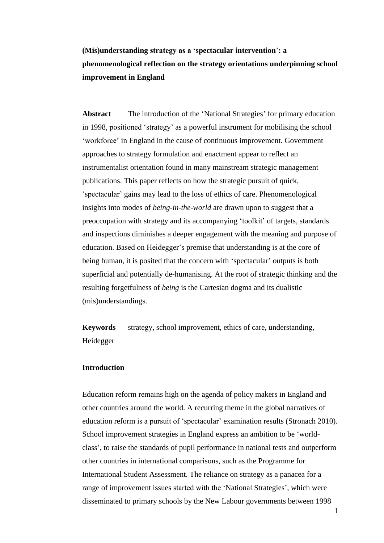**(Mis)understanding strategy as a 'spectacular intervention**'**: a phenomenological reflection on the strategy orientations underpinning school improvement in England**

**Abstract** The introduction of the 'National Strategies' for primary education in 1998, positioned 'strategy' as a powerful instrument for mobilising the school 'workforce' in England in the cause of continuous improvement. Government approaches to strategy formulation and enactment appear to reflect an instrumentalist orientation found in many mainstream strategic management publications. This paper reflects on how the strategic pursuit of quick, 'spectacular' gains may lead to the loss of ethics of care. Phenomenological insights into modes of *being-in-the-world* are drawn upon to suggest that a preoccupation with strategy and its accompanying 'toolkit' of targets, standards and inspections diminishes a deeper engagement with the meaning and purpose of education. Based on Heidegger's premise that understanding is at the core of being human, it is posited that the concern with 'spectacular' outputs is both superficial and potentially de-humanising. At the root of strategic thinking and the resulting forgetfulness of *being* is the Cartesian dogma and its dualistic (mis)understandings.

**Keywords** strategy, school improvement, ethics of care, understanding, Heidegger

#### **Introduction**

Education reform remains high on the agenda of policy makers in England and other countries around the world. A recurring theme in the global narratives of education reform is a pursuit of 'spectacular' examination results (Stronach 2010). School improvement strategies in England express an ambition to be 'worldclass', to raise the standards of pupil performance in national tests and outperform other countries in international comparisons, such as the Programme for International Student Assessment. The reliance on strategy as a panacea for a range of improvement issues started with the 'National Strategies', which were disseminated to primary schools by the New Labour governments between 1998

1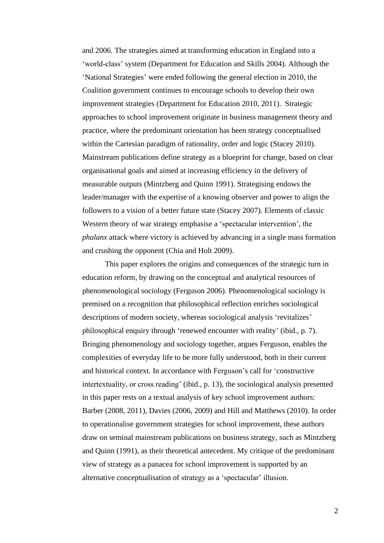and 2006. The strategies aimed at transforming education in England into a 'world-class' system (Department for Education and Skills 2004). Although the 'National Strategies' were ended following the general election in 2010, the Coalition government continues to encourage schools to develop their own improvement strategies (Department for Education 2010, 2011). Strategic approaches to school improvement originate in business management theory and practice, where the predominant orientation has been strategy conceptualised within the Cartesian paradigm of rationality, order and logic (Stacey 2010). Mainstream publications define strategy as a blueprint for change, based on clear organisational goals and aimed at increasing efficiency in the delivery of measurable outputs (Mintzberg and Quinn 1991). Strategising endows the leader/manager with the expertise of a knowing observer and power to align the followers to a vision of a better future state (Stacey 2007). Elements of classic Western theory of war strategy emphasise a 'spectacular intervention', the *phalanx* attack where victory is achieved by advancing in a single mass formation and crushing the opponent (Chia and Holt 2009).

This paper explores the origins and consequences of the strategic turn in education reform, by drawing on the conceptual and analytical resources of phenomenological sociology (Ferguson 2006). Phenomenological sociology is premised on a recognition that philosophical reflection enriches sociological descriptions of modern society, whereas sociological analysis 'revitalizes' philosophical enquiry through 'renewed encounter with reality' (ibid., p. 7). Bringing phenomenology and sociology together, argues Ferguson, enables the complexities of everyday life to be more fully understood, both in their current and historical context. In accordance with Ferguson's call for 'constructive intertextuality, or cross reading' (ibid., p. 13), the sociological analysis presented in this paper rests on a textual analysis of key school improvement authors: Barber (2008, 2011), Davies (2006, 2009) and Hill and Matthews (2010). In order to operationalise government strategies for school improvement, these authors draw on seminal mainstream publications on business strategy, such as Mintzberg and Quinn (1991), as their theoretical antecedent. My critique of the predominant view of strategy as a panacea for school improvement is supported by an alternative conceptualisation of strategy as a 'spectacular' illusion.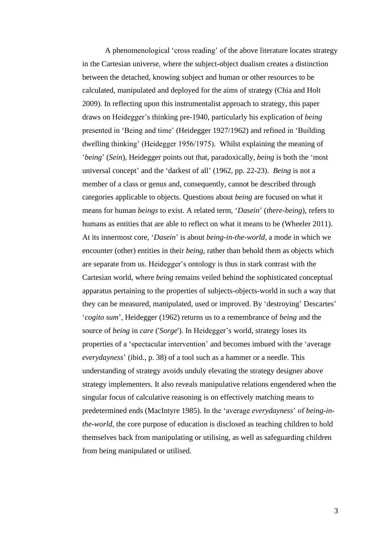A phenomenological 'cross reading' of the above literature locates strategy in the Cartesian universe, where the subject-object dualism creates a distinction between the detached, knowing subject and human or other resources to be calculated, manipulated and deployed for the aims of strategy (Chia and Holt 2009). In reflecting upon this instrumentalist approach to strategy, this paper draws on Heidegger's thinking pre-1940, particularly his explication of *being* presented in 'Being and time' (Heidegger 1927/1962) and refined in 'Building dwelling thinking' (Heidegger 1956/1975). Whilst explaining the meaning of '*being*' (*Sein*), Heidegger points out that, paradoxically, *being* is both the 'most universal concept' and the 'darkest of all' (1962, pp. 22-23). *Being* is not a member of a class or genus and, consequently, cannot be described through categories applicable to objects. Questions about *being* are focused on what it means for human *beings* to exist. A related term, '*Dasein*' (*there-being*), refers to humans as entities that are able to reflect on what it means to be (Wheeler 2011). At its innermost core, '*Dasein*' is about *being-in-the-world*, a mode in which we encounter (other) entities in their *being*, rather than behold them as objects which are separate from us. Heidegger's ontology is thus in stark contrast with the Cartesian world, where *being* remains veiled behind the sophisticated conceptual apparatus pertaining to the properties of subjects-objects-world in such a way that they can be measured, manipulated, used or improved. By 'destroying' Descartes' '*cogito sum*', Heidegger (1962) returns us to a remembrance of *being* and the source of *being* in *care* ('*Sorge*'). In Heidegger's world, strategy loses its properties of a 'spectacular intervention' and becomes imbued with the 'average *everydayness*' (ibid., p. 38) of a tool such as a hammer or a needle. This understanding of strategy avoids unduly elevating the strategy designer above strategy implementers. It also reveals manipulative relations engendered when the singular focus of calculative reasoning is on effectively matching means to predetermined ends (MacIntyre 1985). In the 'average *everydayness*' of *being-inthe-world*, the core purpose of education is disclosed as teaching children to hold themselves back from manipulating or utilising, as well as safeguarding children from being manipulated or utilised.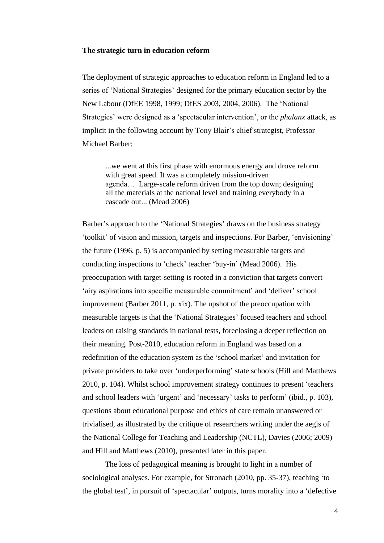### **The strategic turn in education reform**

The deployment of strategic approaches to education reform in England led to a series of 'National Strategies' designed for the primary education sector by the New Labour (DfEE 1998, 1999; DfES 2003, 2004, 2006). The 'National Strategies' were designed as a 'spectacular intervention', or the *phalanx* attack, as implicit in the following account by Tony Blair's chief strategist, Professor Michael Barber:

...we went at this first phase with enormous energy and drove reform with great speed. It was a completely mission-driven agenda… Large-scale reform driven from the top down; designing all the materials at the national level and training everybody in a cascade out... (Mead 2006)

Barber's approach to the 'National Strategies' draws on the business strategy 'toolkit' of vision and mission, targets and inspections. For Barber, 'envisioning' the future (1996, p. 5) is accompanied by setting measurable targets and conducting inspections to 'check' teacher 'buy-in' (Mead 2006). His preoccupation with target-setting is rooted in a conviction that targets convert 'airy aspirations into specific measurable commitment' and 'deliver' school improvement (Barber 2011, p. xix). The upshot of the preoccupation with measurable targets is that the 'National Strategies' focused teachers and school leaders on raising standards in national tests, foreclosing a deeper reflection on their meaning. Post-2010, education reform in England was based on a redefinition of the education system as the 'school market' and invitation for private providers to take over 'underperforming' state schools (Hill and Matthews 2010, p. 104). Whilst school improvement strategy continues to present 'teachers and school leaders with 'urgent' and 'necessary' tasks to perform' (ibid., p. 103), questions about educational purpose and ethics of care remain unanswered or trivialised, as illustrated by the critique of researchers writing under the aegis of the National College for Teaching and Leadership (NCTL), Davies (2006; 2009) and Hill and Matthews (2010), presented later in this paper.

The loss of pedagogical meaning is brought to light in a number of sociological analyses. For example, for Stronach (2010, pp. 35-37), teaching 'to the global test', in pursuit of 'spectacular' outputs, turns morality into a 'defective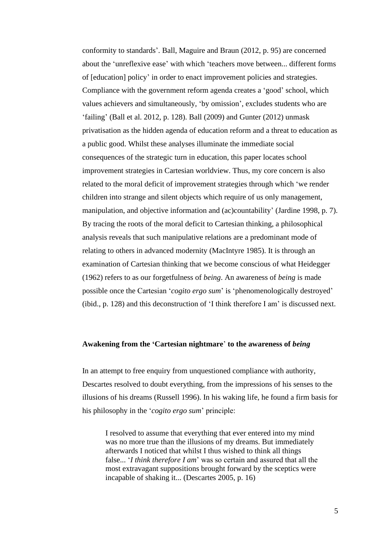conformity to standards'. Ball, Maguire and Braun (2012, p. 95) are concerned about the 'unreflexive ease' with which 'teachers move between... different forms of [education] policy' in order to enact improvement policies and strategies. Compliance with the government reform agenda creates a 'good' school, which values achievers and simultaneously, 'by omission', excludes students who are 'failing' (Ball et al. 2012, p. 128). Ball (2009) and Gunter (2012) unmask privatisation as the hidden agenda of education reform and a threat to education as a public good. Whilst these analyses illuminate the immediate social consequences of the strategic turn in education, this paper locates school improvement strategies in Cartesian worldview. Thus, my core concern is also related to the moral deficit of improvement strategies through which 'we render children into strange and silent objects which require of us only management, manipulation, and objective information and (ac)countability' (Jardine 1998, p. 7). By tracing the roots of the moral deficit to Cartesian thinking, a philosophical analysis reveals that such manipulative relations are a predominant mode of relating to others in advanced modernity (MacIntyre 1985). It is through an examination of Cartesian thinking that we become conscious of what Heidegger (1962) refers to as our forgetfulness of *being*. An awareness of *being* is made possible once the Cartesian '*cogito ergo sum*' is 'phenomenologically destroyed' (ibid., p. 128) and this deconstruction of 'I think therefore I am' is discussed next.

### **Awakening from the 'Cartesian nightmare**' **to the awareness of** *being*

In an attempt to free enquiry from unquestioned compliance with authority, Descartes resolved to doubt everything, from the impressions of his senses to the illusions of his dreams (Russell 1996). In his waking life, he found a firm basis for his philosophy in the '*cogito ergo sum*' principle:

I resolved to assume that everything that ever entered into my mind was no more true than the illusions of my dreams. But immediately afterwards I noticed that whilst I thus wished to think all things false... '*I think therefore I am*' was so certain and assured that all the most extravagant suppositions brought forward by the sceptics were incapable of shaking it... (Descartes 2005, p. 16)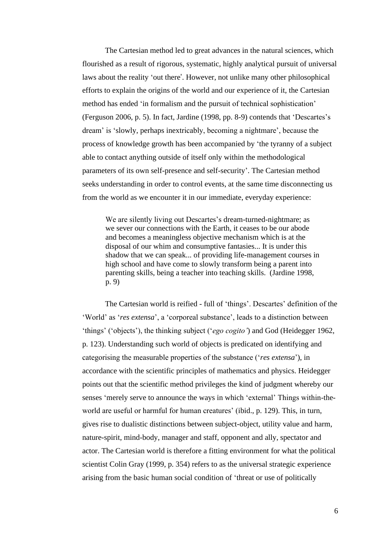The Cartesian method led to great advances in the natural sciences, which flourished as a result of rigorous, systematic, highly analytical pursuit of universal laws about the reality 'out there'. However, not unlike many other philosophical efforts to explain the origins of the world and our experience of it, the Cartesian method has ended 'in formalism and the pursuit of technical sophistication' (Ferguson 2006, p. 5). In fact, Jardine (1998, pp. 8-9) contends that 'Descartes's dream' is 'slowly, perhaps inextricably, becoming a nightmare', because the process of knowledge growth has been accompanied by 'the tyranny of a subject able to contact anything outside of itself only within the methodological parameters of its own self-presence and self-security'. The Cartesian method seeks understanding in order to control events, at the same time disconnecting us from the world as we encounter it in our immediate, everyday experience:

We are silently living out Descartes's dream-turned-nightmare; as we sever our connections with the Earth, it ceases to be our abode and becomes a meaningless objective mechanism which is at the disposal of our whim and consumptive fantasies... It is under this shadow that we can speak... of providing life-management courses in high school and have come to slowly transform being a parent into parenting skills, being a teacher into teaching skills. (Jardine 1998, p. 9)

The Cartesian world is reified - full of 'things'. Descartes' definition of the 'World' as '*res extensa*', a 'corporeal substance', leads to a distinction between 'things' ('objects'), the thinking subject ('*ego cogito'*) and God (Heidegger 1962, p. 123). Understanding such world of objects is predicated on identifying and categorising the measurable properties of the substance ('*res extensa*'), in accordance with the scientific principles of mathematics and physics. Heidegger points out that the scientific method privileges the kind of judgment whereby our senses 'merely serve to announce the ways in which 'external' Things within-theworld are useful or harmful for human creatures' (ibid., p. 129). This, in turn, gives rise to dualistic distinctions between subject-object, utility value and harm, nature-spirit, mind-body, manager and staff, opponent and ally, spectator and actor. The Cartesian world is therefore a fitting environment for what the political scientist Colin Gray (1999, p. 354) refers to as the universal strategic experience arising from the basic human social condition of 'threat or use of politically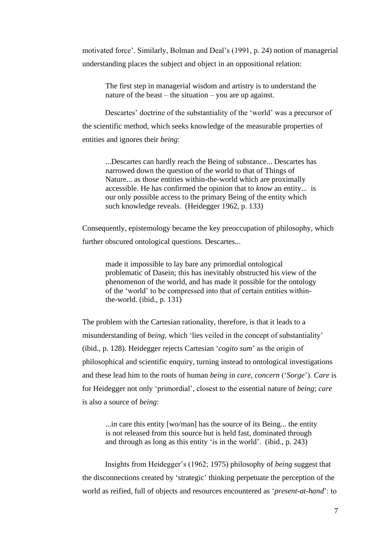motivated force'. Similarly, Bolman and Deal's (1991, p. 24) notion of managerial understanding places the subject and object in an oppositional relation:

The first step in managerial wisdom and artistry is to understand the nature of the beast – the situation – you are up against.

Descartes' doctrine of the substantiality of the 'world' was a precursor of the scientific method, which seeks knowledge of the measurable properties of entities and ignores their *being*:

...Descartes can hardly reach the Being of substance... Descartes has narrowed down the question of the world to that of Things of Nature... as those entities within-the-world which are proximally accessible. He has confirmed the opinion that to *know* an entity... is our only possible access to the primary Being of the entity which such knowledge reveals. (Heidegger 1962, p. 133)

Consequently, epistemology became the key preoccupation of philosophy, which further obscured ontological questions. Descartes...

made it impossible to lay bare any primordial ontological problematic of Dasein; this has inevitably obstructed his view of the phenomenon of the world, and has made it possible for the ontology of the 'world' to be compressed into that of certain entities withinthe-world. (ibid., p. 131)

The problem with the Cartesian rationality, therefore, is that it leads to a misunderstanding of *being*, which 'lies veiled in the concept of substantiality' (ibid., p. 128). Heidegger rejects Cartesian '*cogito sum*' as the origin of philosophical and scientific enquiry, turning instead to ontological investigations and these lead him to the roots of human *being* in *care*, *concern* ('*Sorge*'). *Care* is for Heidegger not only 'primordial', closest to the essential nature of *being*; *care* is also a source of *being*:

...in care this entity [wo/man] has the source of its Being... the entity is not released from this source but is held fast, dominated through and through as long as this entity 'is in the world'. (ibid., p. 243)

Insights from Heidegger's (1962; 1975) philosophy of *being* suggest that the disconnections created by 'strategic' thinking perpetuate the perception of the world as reified, full of objects and resources encountered as '*present-at-hand*': to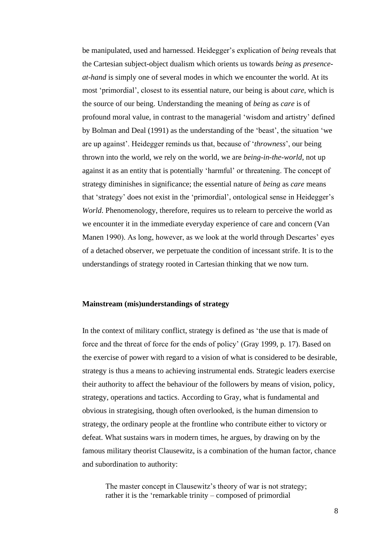be manipulated, used and harnessed. Heidegger's explication of *being* reveals that the Cartesian subject-object dualism which orients us towards *being* as *presenceat-hand* is simply one of several modes in which we encounter the world. At its most 'primordial', closest to its essential nature, our being is about *care*, which is the source of our being. Understanding the meaning of *being* as *care* is of profound moral value, in contrast to the managerial 'wisdom and artistry' defined by Bolman and Deal (1991) as the understanding of the 'beast', the situation 'we are up against'. Heidegger reminds us that, because of '*throwness*', our being thrown into the world, we rely on the world, we are *being-in-the-world*, not up against it as an entity that is potentially 'harmful' or threatening. The concept of strategy diminishes in significance; the essential nature of *being* as *care* means that 'strategy' does not exist in the 'primordial', ontological sense in Heidegger's *World*. Phenomenology, therefore, requires us to relearn to perceive the world as we encounter it in the immediate everyday experience of care and concern (Van Manen 1990). As long, however, as we look at the world through Descartes' eyes of a detached observer, we perpetuate the condition of incessant strife. It is to the understandings of strategy rooted in Cartesian thinking that we now turn.

#### **Mainstream (mis)understandings of strategy**

In the context of military conflict, strategy is defined as 'the use that is made of force and the threat of force for the ends of policy' (Gray 1999, p*.* 17). Based on the exercise of power with regard to a vision of what is considered to be desirable, strategy is thus a means to achieving instrumental ends. Strategic leaders exercise their authority to affect the behaviour of the followers by means of vision, policy, strategy, operations and tactics. According to Gray, what is fundamental and obvious in strategising, though often overlooked, is the human dimension to strategy, the ordinary people at the frontline who contribute either to victory or defeat. What sustains wars in modern times, he argues, by drawing on by the famous military theorist Clausewitz, is a combination of the human factor, chance and subordination to authority:

The master concept in Clausewitz's theory of war is not strategy; rather it is the 'remarkable trinity – composed of primordial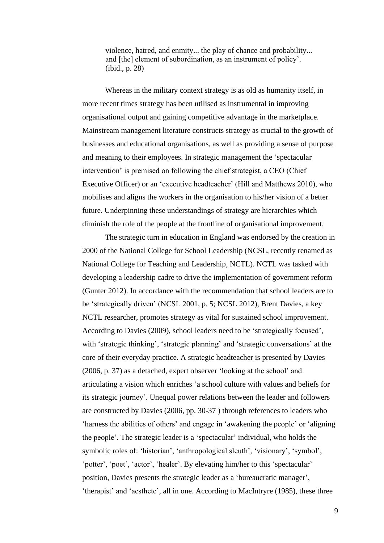violence, hatred, and enmity... the play of chance and probability... and [the] element of subordination, as an instrument of policy'. (ibid., p. 28)

Whereas in the military context strategy is as old as humanity itself, in more recent times strategy has been utilised as instrumental in improving organisational output and gaining competitive advantage in the marketplace. Mainstream management literature constructs strategy as crucial to the growth of businesses and educational organisations, as well as providing a sense of purpose and meaning to their employees. In strategic management the 'spectacular intervention' is premised on following the chief strategist, a CEO (Chief Executive Officer) or an 'executive headteacher' (Hill and Matthews 2010), who mobilises and aligns the workers in the organisation to his/her vision of a better future. Underpinning these understandings of strategy are hierarchies which diminish the role of the people at the frontline of organisational improvement.

The strategic turn in education in England was endorsed by the creation in 2000 of the National College for School Leadership (NCSL, recently renamed as National College for Teaching and Leadership, NCTL). NCTL was tasked with developing a leadership cadre to drive the implementation of government reform (Gunter 2012). In accordance with the recommendation that school leaders are to be 'strategically driven' (NCSL 2001, p. 5; NCSL 2012), Brent Davies, a key NCTL researcher, promotes strategy as vital for sustained school improvement. According to Davies (2009), school leaders need to be 'strategically focused', with 'strategic thinking', 'strategic planning' and 'strategic conversations' at the core of their everyday practice. A strategic headteacher is presented by Davies (2006, p. 37) as a detached, expert observer 'looking at the school' and articulating a vision which enriches 'a school culture with values and beliefs for its strategic journey'. Unequal power relations between the leader and followers are constructed by Davies (2006, pp. 30-37 ) through references to leaders who 'harness the abilities of others' and engage in 'awakening the people' or 'aligning the people'. The strategic leader is a 'spectacular' individual, who holds the symbolic roles of: 'historian', 'anthropological sleuth', 'visionary', 'symbol', 'potter', 'poet', 'actor', 'healer'. By elevating him/her to this 'spectacular' position, Davies presents the strategic leader as a 'bureaucratic manager', 'therapist' and 'aesthete', all in one. According to MacIntryre (1985), these three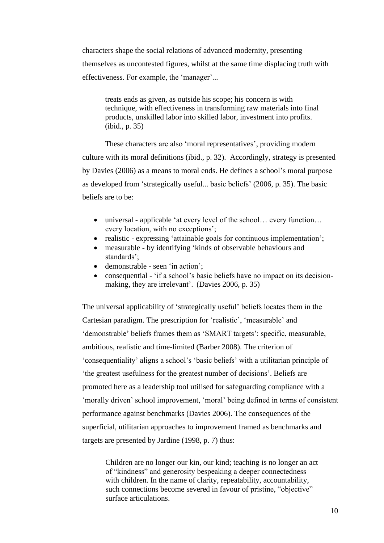characters shape the social relations of advanced modernity, presenting themselves as uncontested figures, whilst at the same time displacing truth with effectiveness. For example, the 'manager'...

treats ends as given, as outside his scope; his concern is with technique, with effectiveness in transforming raw materials into final products, unskilled labor into skilled labor, investment into profits. (ibid., p. 35)

These characters are also 'moral representatives', providing modern culture with its moral definitions (ibid., p. 32). Accordingly, strategy is presented by Davies (2006) as a means to moral ends. He defines a school's moral purpose as developed from 'strategically useful... basic beliefs' (2006, p. 35). The basic beliefs are to be:

- universal applicable 'at every level of the school... every function... every location, with no exceptions';
- realistic expressing 'attainable goals for continuous implementation';
- measurable by identifying 'kinds of observable behaviours and standards';
- demonstrable seen 'in action';
- consequential 'if a school's basic beliefs have no impact on its decisionmaking, they are irrelevant'. (Davies 2006, p. 35)

The universal applicability of 'strategically useful' beliefs locates them in the Cartesian paradigm. The prescription for 'realistic', 'measurable' and 'demonstrable' beliefs frames them as 'SMART targets': specific, measurable, ambitious, realistic and time-limited (Barber 2008). The criterion of 'consequentiality' aligns a school's 'basic beliefs' with a utilitarian principle of 'the greatest usefulness for the greatest number of decisions'. Beliefs are promoted here as a leadership tool utilised for safeguarding compliance with a 'morally driven' school improvement, 'moral' being defined in terms of consistent performance against benchmarks (Davies 2006). The consequences of the superficial, utilitarian approaches to improvement framed as benchmarks and targets are presented by Jardine (1998, p. 7) thus:

Children are no longer our kin, our kind; teaching is no longer an act of "kindness" and generosity bespeaking a deeper connectedness with children. In the name of clarity, repeatability, accountability, such connections become severed in favour of pristine, "objective" surface articulations.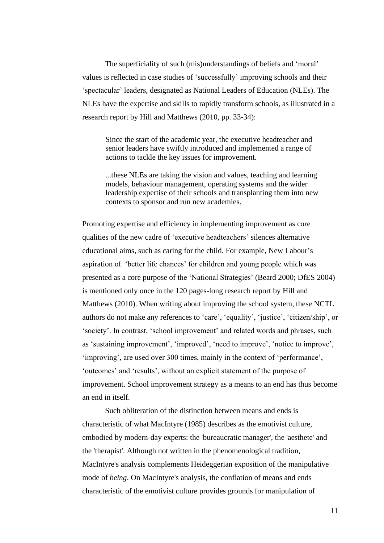The superficiality of such (mis)understandings of beliefs and 'moral' values is reflected in case studies of 'successfully' improving schools and their 'spectacular' leaders, designated as National Leaders of Education (NLEs). The NLEs have the expertise and skills to rapidly transform schools, as illustrated in a research report by Hill and Matthews (2010, pp. 33-34):

Since the start of the academic year, the executive headteacher and senior leaders have swiftly introduced and implemented a range of actions to tackle the key issues for improvement.

...these NLEs are taking the vision and values, teaching and learning models, behaviour management, operating systems and the wider leadership expertise of their schools and transplanting them into new contexts to sponsor and run new academies.

Promoting expertise and efficiency in implementing improvement as core qualities of the new cadre of 'executive headteachers' silences alternative educational aims, such as caring for the child. For example, New Labour's aspiration of 'better life chances' for children and young people which was presented as a core purpose of the 'National Strategies' (Beard 2000; DfES 2004) is mentioned only once in the 120 pages-long research report by Hill and Matthews (2010). When writing about improving the school system, these NCTL authors do not make any references to 'care', 'equality', 'justice', 'citizen/ship', or 'society'. In contrast, 'school improvement' and related words and phrases, such as 'sustaining improvement', 'improved', 'need to improve', 'notice to improve', 'improving', are used over 300 times, mainly in the context of 'performance', 'outcomes' and 'results', without an explicit statement of the purpose of improvement. School improvement strategy as a means to an end has thus become an end in itself.

Such obliteration of the distinction between means and ends is characteristic of what MacIntyre (1985) describes as the emotivist culture, embodied by modern-day experts: the 'bureaucratic manager', the 'aesthete' and the 'therapist'. Although not written in the phenomenological tradition, MacIntyre's analysis complements Heideggerian exposition of the manipulative mode of *being*. On MacIntyre's analysis, the conflation of means and ends characteristic of the emotivist culture provides grounds for manipulation of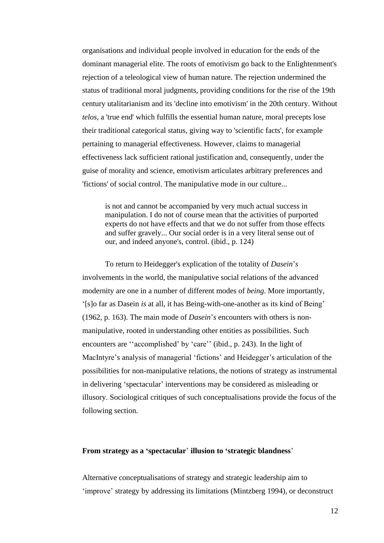organisations and individual people involved in education for the ends of the dominant managerial elite. The roots of emotivism go back to the Enlightenment's rejection of a teleological view of human nature. The rejection undermined the status of traditional moral judgments, providing conditions for the rise of the 19th century utalitarianism and its 'decline into emotivism' in the 20th century. Without *telos*, a 'true end' which fulfills the essential human nature, moral precepts lose their traditional categorical status, giving way to 'scientific facts', for example pertaining to managerial effectiveness. However, claims to managerial effectiveness lack sufficient rational justification and, consequently, under the guise of morality and science, emotivism articulates arbitrary preferences and 'fictions' of social control. The manipulative mode in our culture...

is not and cannot be accompanied by very much actual success in manipulation. I do not of course mean that the activities of purported experts do not have effects and that we do not suffer from those effects and suffer gravely... Our social order is in a very literal sense out of our, and indeed anyone's, control. (ibid., p. 124)

To return to Heidegger's explication of the totality of *Dasein*'*s* involvements in the world, the manipulative social relations of the advanced modernity are one in a number of different modes of *being*. More importantly, '[s]o far as Dasein *is* at all, it has Being-with-one-another as its kind of Being' (1962, p. 163). The main mode of *Dasein*'*s* encounters with others is nonmanipulative, rooted in understanding other entities as possibilities. Such encounters are ''accomplished' by 'care'' (ibid., p. 243). In the light of MacIntyre's analysis of managerial 'fictions' and Heidegger's articulation of the possibilities for non-manipulative relations, the notions of strategy as instrumental in delivering 'spectacular' interventions may be considered as misleading or illusory. Sociological critiques of such conceptualisations provide the focus of the following section.

## **From strategy as a 'spectacular**' **illusion to 'strategic blandness**'

Alternative conceptualisations of strategy and strategic leadership aim to 'improve' strategy by addressing its limitations (Mintzberg 1994), or deconstruct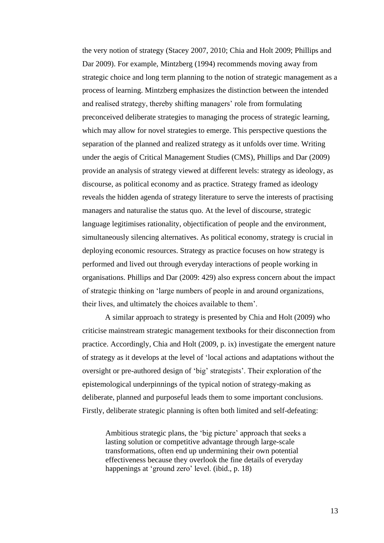the very notion of strategy (Stacey 2007, 2010; Chia and Holt 2009; Phillips and Dar 2009). For example, Mintzberg (1994) recommends moving away from strategic choice and long term planning to the notion of strategic management as a process of learning. Mintzberg emphasizes the distinction between the intended and realised strategy, thereby shifting managers' role from formulating preconceived deliberate strategies to managing the process of strategic learning, which may allow for novel strategies to emerge. This perspective questions the separation of the planned and realized strategy as it unfolds over time. Writing under the aegis of Critical Management Studies (CMS), Phillips and Dar (2009) provide an analysis of strategy viewed at different levels: strategy as ideology, as discourse, as political economy and as practice. Strategy framed as ideology reveals the hidden agenda of strategy literature to serve the interests of practising managers and naturalise the status quo. At the level of discourse, strategic language legitimises rationality, objectification of people and the environment, simultaneously silencing alternatives. As political economy, strategy is crucial in deploying economic resources. Strategy as practice focuses on how strategy is performed and lived out through everyday interactions of people working in organisations. Phillips and Dar (2009: 429) also express concern about the impact of strategic thinking on 'large numbers of people in and around organizations, their lives, and ultimately the choices available to them'.

A similar approach to strategy is presented by Chia and Holt (2009) who criticise mainstream strategic management textbooks for their disconnection from practice. Accordingly, Chia and Holt (2009, p. ix) investigate the emergent nature of strategy as it develops at the level of 'local actions and adaptations without the oversight or pre-authored design of 'big' strategists'. Their exploration of the epistemological underpinnings of the typical notion of strategy-making as deliberate, planned and purposeful leads them to some important conclusions. Firstly, deliberate strategic planning is often both limited and self-defeating:

Ambitious strategic plans, the 'big picture' approach that seeks a lasting solution or competitive advantage through large-scale transformations, often end up undermining their own potential effectiveness because they overlook the fine details of everyday happenings at 'ground zero' level. (ibid., p. 18)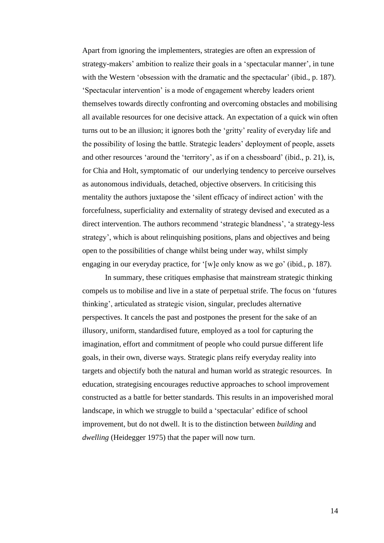Apart from ignoring the implementers, strategies are often an expression of strategy-makers' ambition to realize their goals in a 'spectacular manner', in tune with the Western 'obsession with the dramatic and the spectacular' (ibid., p. 187). 'Spectacular intervention' is a mode of engagement whereby leaders orient themselves towards directly confronting and overcoming obstacles and mobilising all available resources for one decisive attack. An expectation of a quick win often turns out to be an illusion; it ignores both the 'gritty' reality of everyday life and the possibility of losing the battle. Strategic leaders' deployment of people, assets and other resources 'around the 'territory', as if on a chessboard' (ibid., p. 21), is, for Chia and Holt, symptomatic of our underlying tendency to perceive ourselves as autonomous individuals, detached, objective observers. In criticising this mentality the authors juxtapose the 'silent efficacy of indirect action' with the forcefulness, superficiality and externality of strategy devised and executed as a direct intervention. The authors recommend 'strategic blandness', 'a strategy-less strategy', which is about relinquishing positions, plans and objectives and being open to the possibilities of change whilst being under way, whilst simply engaging in our everyday practice, for '[w]e only know as we go' (ibid., p. 187).

In summary, these critiques emphasise that mainstream strategic thinking compels us to mobilise and live in a state of perpetual strife. The focus on 'futures thinking', articulated as strategic vision, singular, precludes alternative perspectives. It cancels the past and postpones the present for the sake of an illusory, uniform, standardised future, employed as a tool for capturing the imagination, effort and commitment of people who could pursue different life goals, in their own, diverse ways. Strategic plans reify everyday reality into targets and objectify both the natural and human world as strategic resources. In education, strategising encourages reductive approaches to school improvement constructed as a battle for better standards. This results in an impoverished moral landscape, in which we struggle to build a 'spectacular' edifice of school improvement, but do not dwell. It is to the distinction between *building* and *dwelling* (Heidegger 1975) that the paper will now turn.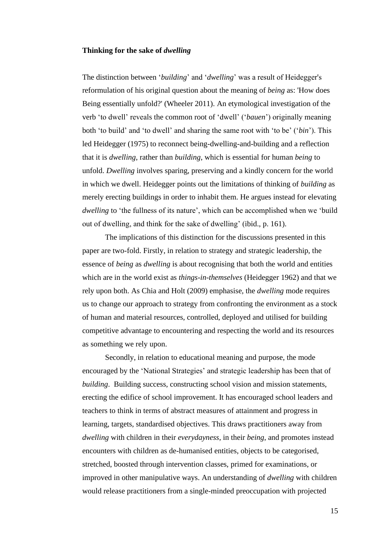### **Thinking for the sake of** *dwelling*

The distinction between '*building*' and '*dwelling*' was a result of Heidegger's reformulation of his original question about the meaning of *being* as: 'How does Being essentially unfold?' (Wheeler 2011). An etymological investigation of the verb 'to dwell' reveals the common root of 'dwell' ('*bauen*') originally meaning both 'to build' and 'to dwell' and sharing the same root with 'to be' ('*bin*'). This led Heidegger (1975) to reconnect being-dwelling-and-building and a reflection that it is *dwelling*, rather than *building*, which is essential for human *being* to unfold. *Dwelling* involves sparing, preserving and a kindly concern for the world in which we dwell. Heidegger points out the limitations of thinking of *building* as merely erecting buildings in order to inhabit them. He argues instead for elevating *dwelling* to 'the fullness of its nature', which can be accomplished when we 'build out of dwelling, and think for the sake of dwelling' (ibid., p. 161).

The implications of this distinction for the discussions presented in this paper are two-fold. Firstly, in relation to strategy and strategic leadership, the essence of *being* as *dwelling* is about recognising that both the world and entities which are in the world exist as *things-in-themselves* (Heidegger 1962) and that we rely upon both. As Chia and Holt (2009) emphasise, the *dwelling* mode requires us to change our approach to strategy from confronting the environment as a stock of human and material resources, controlled, deployed and utilised for building competitive advantage to encountering and respecting the world and its resources as something we rely upon.

Secondly, in relation to educational meaning and purpose, the mode encouraged by the 'National Strategies' and strategic leadership has been that of *building*. Building success, constructing school vision and mission statements, erecting the edifice of school improvement. It has encouraged school leaders and teachers to think in terms of abstract measures of attainment and progress in learning, targets, standardised objectives. This draws practitioners away from *dwelling* with children in their *everydayness*, in their *being*, and promotes instead encounters with children as de-humanised entities, objects to be categorised, stretched, boosted through intervention classes, primed for examinations, or improved in other manipulative ways. An understanding of *dwelling* with children would release practitioners from a single-minded preoccupation with projected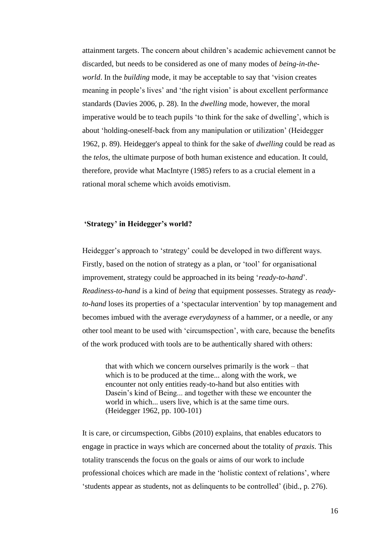attainment targets. The concern about children's academic achievement cannot be discarded, but needs to be considered as one of many modes of *being-in-theworld*. In the *building* mode, it may be acceptable to say that 'vision creates meaning in people's lives' and 'the right vision' is about excellent performance standards (Davies 2006, p. 28). In the *dwelling* mode, however, the moral imperative would be to teach pupils 'to think for the sake of dwelling', which is about 'holding-oneself-back from any manipulation or utilization' (Heidegger 1962, p. 89). Heidegger's appeal to think for the sake of *dwelling* could be read as the *telos*, the ultimate purpose of both human existence and education. It could, therefore, provide what MacIntyre (1985) refers to as a crucial element in a rational moral scheme which avoids emotivism.

# **'Strategy' in Heidegger's world?**

Heidegger's approach to 'strategy' could be developed in two different ways. Firstly, based on the notion of strategy as a plan, or 'tool' for organisational improvement, strategy could be approached in its being '*ready-to-hand*'. *Readiness-to-hand* is a kind of *being* that equipment possesses. Strategy as *readyto-hand* loses its properties of a 'spectacular intervention' by top management and becomes imbued with the average *everydayness* of a hammer, or a needle, or any other tool meant to be used with 'circumspection', with care, because the benefits of the work produced with tools are to be authentically shared with others:

that with which we concern ourselves primarily is the work – that which is to be produced at the time... along with the work, we encounter not only entities ready-to-hand but also entities with Dasein's kind of Being... and together with these we encounter the world in which... users live, which is at the same time ours. (Heidegger 1962, pp. 100-101)

It is care, or circumspection, Gibbs (2010) explains, that enables educators to engage in practice in ways which are concerned about the totality of *praxis*. This totality transcends the focus on the goals or aims of our work to include professional choices which are made in the 'holistic context of relations', where 'students appear as students, not as delinquents to be controlled' (ibid., p. 276).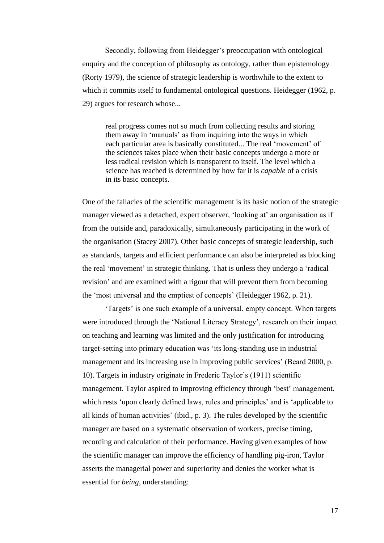Secondly, following from Heidegger's preoccupation with ontological enquiry and the conception of philosophy as ontology, rather than epistemology (Rorty 1979), the science of strategic leadership is worthwhile to the extent to which it commits itself to fundamental ontological questions. Heidegger (1962, p. 29) argues for research whose...

real progress comes not so much from collecting results and storing them away in 'manuals' as from inquiring into the ways in which each particular area is basically constituted... The real 'movement' of the sciences takes place when their basic concepts undergo a more or less radical revision which is transparent to itself. The level which a science has reached is determined by how far it is *capable* of a crisis in its basic concepts.

One of the fallacies of the scientific management is its basic notion of the strategic manager viewed as a detached, expert observer, 'looking at' an organisation as if from the outside and, paradoxically, simultaneously participating in the work of the organisation (Stacey 2007). Other basic concepts of strategic leadership, such as standards, targets and efficient performance can also be interpreted as blocking the real 'movement' in strategic thinking. That is unless they undergo a 'radical revision' and are examined with a rigour that will prevent them from becoming the 'most universal and the emptiest of concepts' (Heidegger 1962, p. 21).

'Targets' is one such example of a universal, empty concept. When targets were introduced through the 'National Literacy Strategy', research on their impact on teaching and learning was limited and the only justification for introducing target-setting into primary education was 'its long-standing use in industrial management and its increasing use in improving public services' (Beard 2000, p. 10). Targets in industry originate in Frederic Taylor's (1911) scientific management. Taylor aspired to improving efficiency through 'best' management, which rests 'upon clearly defined laws, rules and principles' and is 'applicable to all kinds of human activities' (ibid., p. 3). The rules developed by the scientific manager are based on a systematic observation of workers, precise timing, recording and calculation of their performance. Having given examples of how the scientific manager can improve the efficiency of handling pig-iron, Taylor asserts the managerial power and superiority and denies the worker what is essential for *being*, understanding: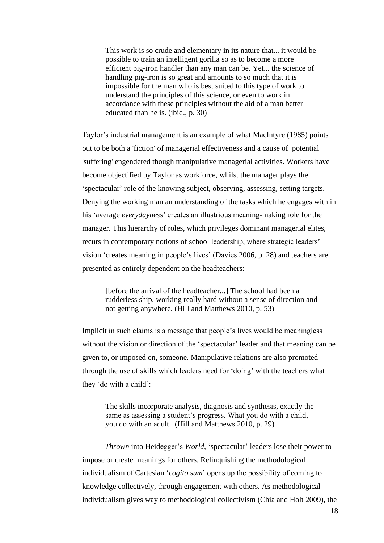This work is so crude and elementary in its nature that... it would be possible to train an intelligent gorilla so as to become a more efficient pig-iron handler than any man can be. Yet... the science of handling pig-iron is so great and amounts to so much that it is impossible for the man who is best suited to this type of work to understand the principles of this science, or even to work in accordance with these principles without the aid of a man better educated than he is. (ibid., p. 30)

Taylor's industrial management is an example of what MacIntyre (1985) points out to be both a 'fiction' of managerial effectiveness and a cause of potential 'suffering' engendered though manipulative managerial activities. Workers have become objectified by Taylor as workforce, whilst the manager plays the 'spectacular' role of the knowing subject, observing, assessing, setting targets. Denying the working man an understanding of the tasks which he engages with in his 'average *everydayness*' creates an illustrious meaning-making role for the manager. This hierarchy of roles, which privileges dominant managerial elites, recurs in contemporary notions of school leadership, where strategic leaders' vision 'creates meaning in people's lives' (Davies 2006, p. 28) and teachers are presented as entirely dependent on the headteachers:

[before the arrival of the headteacher...] The school had been a rudderless ship, working really hard without a sense of direction and not getting anywhere. (Hill and Matthews 2010, p. 53)

Implicit in such claims is a message that people's lives would be meaningless without the vision or direction of the 'spectacular' leader and that meaning can be given to, or imposed on, someone. Manipulative relations are also promoted through the use of skills which leaders need for 'doing' with the teachers what they 'do with a child':

The skills incorporate analysis, diagnosis and synthesis, exactly the same as assessing a student's progress. What you do with a child, you do with an adult. (Hill and Matthews 2010, p. 29)

*Thrown* into Heidegger's *World*, 'spectacular' leaders lose their power to impose or create meanings for others. Relinquishing the methodological individualism of Cartesian '*cogito sum*' opens up the possibility of coming to knowledge collectively, through engagement with others. As methodological individualism gives way to methodological collectivism (Chia and Holt 2009), the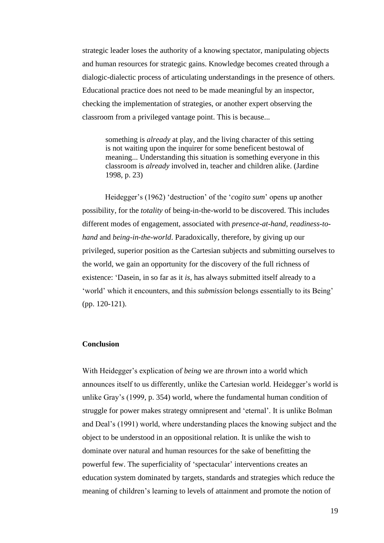strategic leader loses the authority of a knowing spectator, manipulating objects and human resources for strategic gains. Knowledge becomes created through a dialogic-dialectic process of articulating understandings in the presence of others. Educational practice does not need to be made meaningful by an inspector, checking the implementation of strategies, or another expert observing the classroom from a privileged vantage point. This is because...

something is *already* at play, and the living character of this setting is not waiting upon the inquirer for some beneficent bestowal of meaning... Understanding this situation is something everyone in this classroom is *already* involved in, teacher and children alike. (Jardine 1998, p. 23)

Heidegger's (1962) 'destruction' of the '*cogito sum*' opens up another possibility, for the *totality* of being-in-the-world to be discovered. This includes different modes of engagement, associated with *presence-at-hand*, *readiness-tohand* and *being-in-the-world*. Paradoxically, therefore, by giving up our privileged, superior position as the Cartesian subjects and submitting ourselves to the world, we gain an opportunity for the discovery of the full richness of existence: 'Dasein, in so far as it *is*, has always submitted itself already to a 'world' which it encounters, and this *submission* belongs essentially to its Being' (pp. 120-121).

### **Conclusion**

With Heidegger's explication of *being* we are *thrown* into a world which announces itself to us differently, unlike the Cartesian world. Heidegger's world is unlike Gray's (1999, p. 354) world, where the fundamental human condition of struggle for power makes strategy omnipresent and 'eternal'. It is unlike Bolman and Deal's (1991) world, where understanding places the knowing subject and the object to be understood in an oppositional relation. It is unlike the wish to dominate over natural and human resources for the sake of benefitting the powerful few. The superficiality of 'spectacular' interventions creates an education system dominated by targets, standards and strategies which reduce the meaning of children's learning to levels of attainment and promote the notion of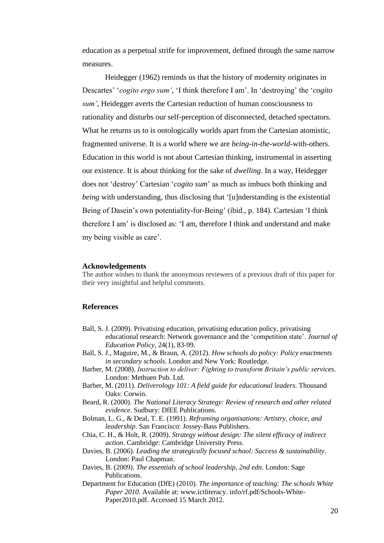education as a perpetual strife for improvement, defined through the same narrow measures.

Heidegger (1962) reminds us that the history of modernity originates in Descartes' '*cogito ergo sum'*, 'I think therefore I am'. In 'destroying' the '*cogito sum'*, Heidegger averts the Cartesian reduction of human consciousness to rationality and disturbs our self-perception of disconnected, detached spectators. What he returns us to is ontologically worlds apart from the Cartesian atomistic, fragmented universe. It is a world where we are *being-in-the-world-*with-others. Education in this world is not about Cartesian thinking, instrumental in asserting our existence. It is about thinking for the sake of *dwelling*. In a way, Heidegger does not 'destroy' Cartesian '*cogito sum*' as much as imbues both thinking and *being* with understanding, thus disclosing that '[u]nderstanding is the existential Being of Dasein's own potentiality-for-Being' (ibid., p. 184). Cartesian 'I think therefore I am' is disclosed as: 'I am, therefore I think and understand and make my being visible as care'.

#### **Acknowledgements**

The author wishes to thank the anonymous reviewers of a previous draft of this paper for their very insightful and helpful comments.

# **References**

- Ball, S. J. (2009). Privatising education, privatising education policy, privatising educational research: Network governance and the 'competition state'. *Journal of Education Policy*, 24(1), 83-99.
- Ball, S. J., Maguire, M., & Braun, A. (2012). *How schools do policy: Policy enactments in secondary schools*. London and New York: Routledge.
- Barber, M. (2008). *Instruction to deliver: Fighting to transform Britain's public services*. London: Methuen Pub. Ltd.
- Barber, M. (2011). *Deliverology 101: A field guide for educational leaders*. Thousand Oaks: Corwin.
- Beard, R. (2000). *The National Literacy Strategy: Review of research and other related evidence.* Sudbury: DfEE Publications.
- Bolman, L. G., & Deal, T. E. (1991). *Reframing organisations: Artistry, choice, and leadership*. San Francisco: Jossey-Bass Publishers.
- Chia, C. H., & Holt, R. (2009). *Strategy without design: The silent efficacy of indirect action*. Cambridge: Cambridge University Press.
- Davies, B. (2006). *Leading the strategically focused school: Success & sustainability*. London: Paul Chapman.
- Davies, B. (2009). *The essentials of school leadership, 2nd edn*. London: Sage Publications.
- Department for Education (DfE) (2010). *The importance of teaching: The schools White Paper 2010*. Available at: www.ictliteracy. info/rf.pdf/Schools-White-Paper2010.pdf. Accessed 15 March 2012.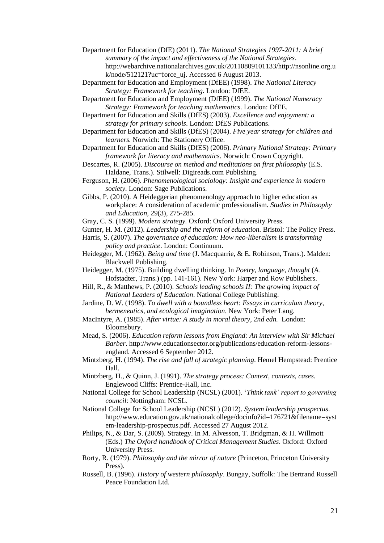Department for Education (DfE) (2011). *The National Strategies 1997-2011: A brief summary of the impact and effectiveness of the National Strategies*. http://webarchive.nationalarchives.gov.uk/20110809101133/http://nsonline.org.u k/node/512121?uc=force\_uj. Accessed 6 August 2013.

Department for Education and Employment (DfEE) (1998). *The National Literacy Strategy: Framework for teaching*. London: DfEE.

Department for Education and Employment (DfEE) (1999). *The National Numeracy Strategy: Framework for teaching mathematics*. London: DfEE.

Department for Education and Skills (DfES) (2003). *Excellence and enjoyment: a strategy for primary schools*. London: DfES Publications.

Department for Education and Skills (DfES) (2004). *Five year strategy for children and learners.* Norwich: The Stationery Office.

Department for Education and Skills (DfES) (2006). *Primary National Strategy: Primary framework for literacy and mathematics*. Norwich: Crown Copyright.

Descartes, R. (2005). *Discourse on method and meditations on first philosophy* (E.S. Haldane, Trans.). Stilwell: Digireads.com Publishing.

Ferguson, H. (2006). *Phenomenological sociology: Insight and experience in modern society*. London: Sage Publications.

Gibbs, P. (2010). A Heideggerian phenomenology approach to higher education as workplace: A consideration of academic professionalism. *Studies in Philosophy and Education*, 29(3), 275-285.

Gray, C. S. (1999). *Modern strategy.* Oxford: Oxford University Press.

Gunter, H. M. (2012). *Leadership and the reform of education.* Bristol: The Policy Press.

Harris, S. (2007). *The governance of education: How neo-liberalism is transforming policy and practice*. London: Continuum.

Heidegger, M. (1962). *Being and time* (J. Macquarrie, & E. Robinson, Trans.). Malden: Blackwell Publishing.

Heidegger, M. (1975). Building dwelling thinking. In *Poetry, language, thought* (A. Hofstadter, Trans.) (pp. 141-161). New York: Harper and Row Publishers.

Hill, R., & Matthews, P. (2010). *Schools leading schools II: The growing impact of National Leaders of Education*. National College Publishing.

Jardine, D. W. (1998). *To dwell with a boundless heart: Essays in curriculum theory, hermeneutics, and ecological imagination*. New York: Peter Lang.

MacIntyre, A. (1985). *After virtue: A study in moral theory, 2nd edn.* London: Bloomsbury.

Mead, S. (2006). *Education reform lessons from England: An interview with Sir Michael Barber*. http://www.educationsector.org/publications/education-reform-lessonsengland. Accessed 6 September 2012.

Mintzberg, H. (1994). *The rise and fall of strategic planning*. Hemel Hempstead: Prentice Hall.

Mintzberg, H., & Quinn, J. (1991). *The strategy process: Context, contexts, cases.*  Englewood Cliffs: Prentice-Hall, Inc.

National College for School Leadership (NCSL) (2001). '*Think tank' report to governing council*: Nottingham: NCSL.

National College for School Leadership (NCSL) (2012). *System leadership prospectus*. http://www.education.gov.uk/nationalcollege/docinfo?id=176721&filename=syst em-leadership-prospectus.pdf. Accessed 27 August 2012.

Philips, N., & Dar, S. (2009). Strategy. In M. Alvesson, T. Bridgman, & H. Willmott (Eds.) *The Oxford handbook of Critical Management Studies*. Oxford: Oxford University Press.

Rorty, R. (1979). *Philosophy and the mirror of nature* (Princeton, Princeton University Press).

Russell, B. (1996). *History of western philosophy*. Bungay, Suffolk: The Bertrand Russell Peace Foundation Ltd.